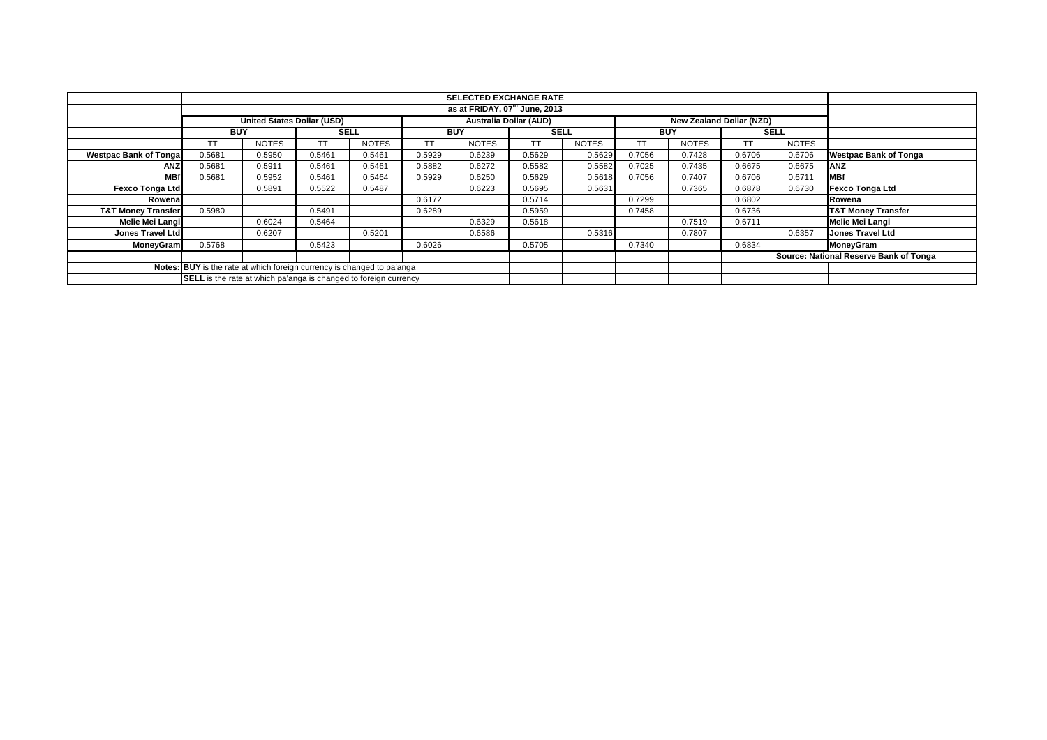| <b>SELECTED EXCHANGE RATE</b>                                          |            |                                   |             |              |            |                                           |             |              |            |                                 |        |              |                                        |
|------------------------------------------------------------------------|------------|-----------------------------------|-------------|--------------|------------|-------------------------------------------|-------------|--------------|------------|---------------------------------|--------|--------------|----------------------------------------|
|                                                                        |            |                                   |             |              |            | as at FRIDAY, 07 <sup>th</sup> June, 2013 |             |              |            |                                 |        |              |                                        |
|                                                                        |            |                                   |             |              |            |                                           |             |              |            |                                 |        |              |                                        |
|                                                                        |            | <b>United States Dollar (USD)</b> |             |              |            | <b>Australia Dollar (AUD)</b>             |             |              |            | <b>New Zealand Dollar (NZD)</b> |        |              |                                        |
|                                                                        | <b>BUY</b> |                                   | <b>SELL</b> |              | <b>BUY</b> |                                           | <b>SELL</b> |              | <b>BUY</b> |                                 |        | <b>SELL</b>  |                                        |
|                                                                        |            | <b>NOTES</b>                      |             | <b>NOTES</b> |            | <b>NOTES</b>                              | <b>TT</b>   | <b>NOTES</b> |            | <b>NOTES</b>                    | ТT     | <b>NOTES</b> |                                        |
| <b>Westpac Bank of Tongal</b>                                          | 0.5681     | 0.5950                            | 0.5461      | 0.5461       | 0.5929     | 0.6239                                    | 0.5629      | 0.5629       | 0.7056     | 0.7428                          | 0.6706 | 0.6706       | <b>Westpac Bank of Tonga</b>           |
| <b>ANZ</b>                                                             | 0.5681     | 0.5911                            | 0.5461      | 0.5461       | 0.5882     | 0.6272                                    | 0.5582      | 0.5582       | 0.7025     | 0.7435                          | 0.6675 | 0.6675       | <b>ANZ</b>                             |
| <b>MBf</b>                                                             | 0.5681     | 0.5952                            | 0.5461      | 0.5464       | 0.5929     | 0.6250                                    | 0.5629      | 0.5618       | 0.7056     | 0.7407                          | 0.6706 | 0.6711       | <b>MBf</b>                             |
| <b>Fexco Tonga Ltd</b>                                                 |            | 0.5891                            | 0.5522      | 0.5487       |            | 0.6223                                    | 0.5695      | 0.5631       |            | 0.7365                          | 0.6878 | 0.6730       | <b>Fexco Tonga Ltd</b>                 |
| Rowena                                                                 |            |                                   |             |              | 0.6172     |                                           | 0.5714      |              | 0.7299     |                                 | 0.6802 |              | Rowena                                 |
| <b>T&amp;T Money Transfer</b>                                          | 0.5980     |                                   | 0.5491      |              | 0.6289     |                                           | 0.5959      |              | 0.7458     |                                 | 0.6736 |              | <b>T&amp;T Money Transfer</b>          |
| Melie Mei Langi                                                        |            | 0.6024                            | 0.5464      |              |            | 0.6329                                    | 0.5618      |              |            | 0.7519                          | 0.6711 |              | <b>Melie Mei Langi</b>                 |
| <b>Jones Travel Ltd</b>                                                |            | 0.6207                            |             | 0.5201       |            | 0.6586                                    |             | 0.5316       |            | 0.7807                          |        | 0.6357       | <b>Jones Travel Ltd</b>                |
| MoneyGram                                                              | 0.5768     |                                   | 0.5423      |              | 0.6026     |                                           | 0.5705      |              | 0.7340     |                                 | 0.6834 |              | MoneyGram                              |
|                                                                        |            |                                   |             |              |            |                                           |             |              |            |                                 |        |              | Source: National Reserve Bank of Tonga |
| Notes: BUY is the rate at which foreign currency is changed to pa'anga |            |                                   |             |              |            |                                           |             |              |            |                                 |        |              |                                        |
| SELL is the rate at which pa'anga is changed to foreign currency       |            |                                   |             |              |            |                                           |             |              |            |                                 |        |              |                                        |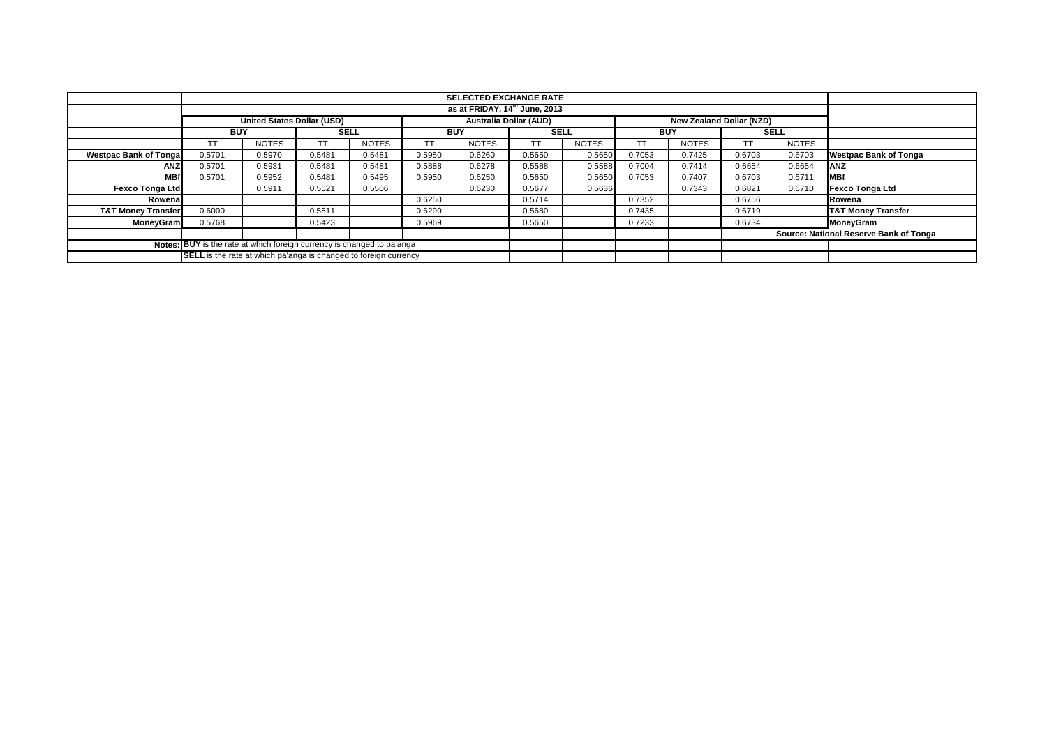|                                                                        |            |                                   |             |              |            | <b>SELECTED EXCHANGE RATE</b><br>as at FRIDAY, 14 <sup>th</sup> June, 2013 |                               |              |                                 |              |             |              |                                        |
|------------------------------------------------------------------------|------------|-----------------------------------|-------------|--------------|------------|----------------------------------------------------------------------------|-------------------------------|--------------|---------------------------------|--------------|-------------|--------------|----------------------------------------|
|                                                                        |            |                                   |             |              |            |                                                                            |                               |              |                                 |              |             |              |                                        |
|                                                                        |            | <b>United States Dollar (USD)</b> |             |              |            |                                                                            | <b>Australia Dollar (AUD)</b> |              | <b>New Zealand Dollar (NZD)</b> |              |             |              |                                        |
|                                                                        | <b>BUY</b> |                                   | <b>SELL</b> |              | <b>BUY</b> |                                                                            | <b>SELL</b>                   |              | <b>BUY</b>                      |              | <b>SELL</b> |              |                                        |
|                                                                        | T          | <b>NOTES</b>                      |             | <b>NOTES</b> |            | <b>NOTES</b>                                                               | <b>TT</b>                     | <b>NOTES</b> |                                 | <b>NOTES</b> | <b>TT</b>   | <b>NOTES</b> |                                        |
| <b>Westpac Bank of Tonga</b>                                           | 0.5701     | 0.5970                            | 0.5481      | 0.5481       | 0.5950     | 0.6260                                                                     | 0.5650                        | 0.5650       | 0.7053                          | 0.7425       | 0.6703      | 0.6703       | <b>Westpac Bank of Tonga</b>           |
| ANZ                                                                    | 0.5701     | 0.5931                            | 0.5481      | 0.5481       | 0.5888     | 0.6278                                                                     | 0.5588                        | 0.5588       | 0.7004                          | 0.7414       | 0.6654      | 0.6654       | <b>ANZ</b>                             |
| <b>MBf</b>                                                             | 0.5701     | 0.5952                            | 0.5481      | 0.5495       | 0.5950     | 0.6250                                                                     | 0.5650                        | 0.5650       | 0.7053                          | 0.7407       | 0.6703      | 0.6711       | <b>MBf</b>                             |
| <b>Fexco Tonga Ltd</b>                                                 |            | 0.5911                            | 0.5521      | 0.5506       |            | 0.6230                                                                     | 0.5677                        | 0.5636       |                                 | 0.7343       | 0.6821      | 0.6710       | <b>Fexco Tonga Ltd</b>                 |
| Rowenal                                                                |            |                                   |             |              | 0.6250     |                                                                            | 0.5714                        |              | 0.7352                          |              | 0.6756      |              | Rowena                                 |
| <b>T&amp;T Money Transfer</b>                                          | 0.6000     |                                   | 0.5511      |              | 0.6290     |                                                                            | 0.5680                        |              | 0.7435                          |              | 0.6719      |              | <b>T&amp;T Money Transfer</b>          |
| <b>MoneyGram</b>                                                       | 0.5768     |                                   | 0.5423      |              | 0.5969     |                                                                            | 0.5650                        |              | 0.7233                          |              | 0.6734      |              | MoneyGram                              |
|                                                                        |            |                                   |             |              |            |                                                                            |                               |              |                                 |              |             |              | Source: National Reserve Bank of Tonga |
| Notes: BUY is the rate at which foreign currency is changed to pa'anga |            |                                   |             |              |            |                                                                            |                               |              |                                 |              |             |              |                                        |
| SELL is the rate at which pa'anga is changed to foreign currency       |            |                                   |             |              |            |                                                                            |                               |              |                                 |              |             |              |                                        |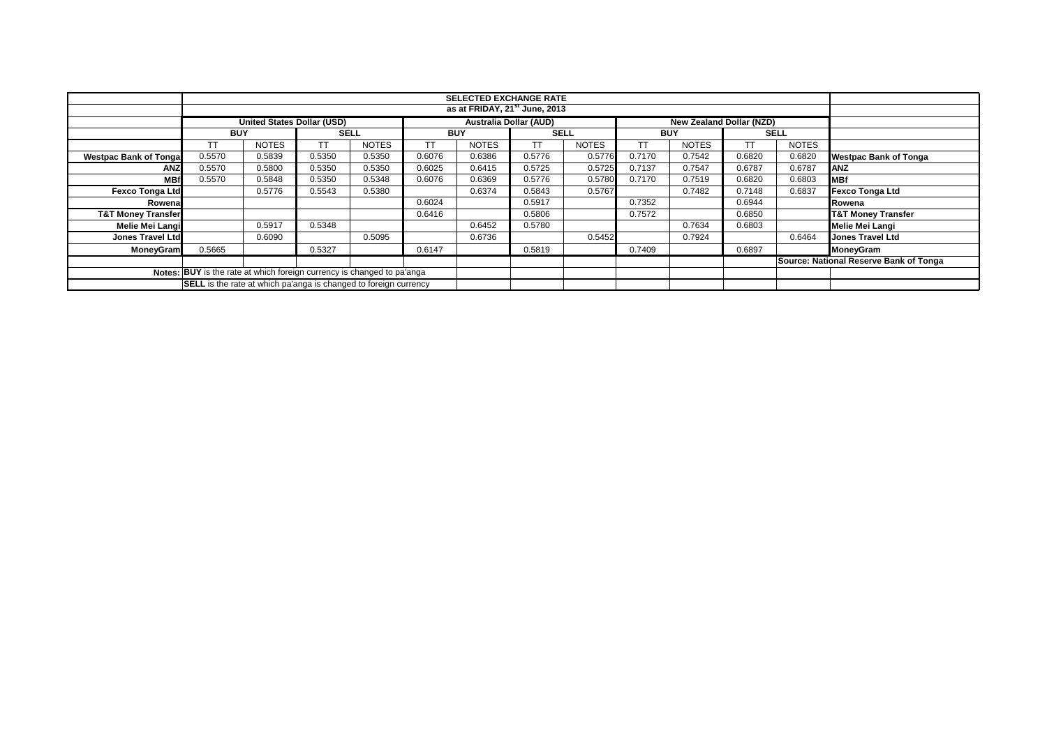|                                                                        |                                                                         |                                                                                                |             |              |            | <b>SELECTED EXCHANGE RATE</b><br>as at FRIDAY, 21 <sup>st</sup> June, 2013 |             |              |            |              |             |              |                                        |
|------------------------------------------------------------------------|-------------------------------------------------------------------------|------------------------------------------------------------------------------------------------|-------------|--------------|------------|----------------------------------------------------------------------------|-------------|--------------|------------|--------------|-------------|--------------|----------------------------------------|
|                                                                        |                                                                         |                                                                                                |             |              |            |                                                                            |             |              |            |              |             |              |                                        |
|                                                                        |                                                                         | <b>United States Dollar (USD)</b><br><b>Australia Dollar (AUD)</b><br>New Zealand Dollar (NZD) |             |              |            |                                                                            |             |              |            |              |             |              |                                        |
|                                                                        | <b>BUY</b>                                                              |                                                                                                | <b>SELL</b> |              | <b>BUY</b> |                                                                            | <b>SELL</b> |              | <b>BUY</b> |              | <b>SELL</b> |              |                                        |
|                                                                        | TT                                                                      | <b>NOTES</b>                                                                                   | ТT          | <b>NOTES</b> | ТT         | <b>NOTES</b>                                                               | TΤ          | <b>NOTES</b> | ТT         | <b>NOTES</b> | TT          | <b>NOTES</b> |                                        |
| <b>Westpac Bank of Tonga</b>                                           | 0.5570                                                                  | 0.5839                                                                                         | 0.5350      | 0.5350       | 0.6076     | 0.6386                                                                     | 0.5776      | 0.5776       | 0.7170     | 0.7542       | 0.6820      | 0.6820       | Westpac Bank of Tonga                  |
| <b>ANZ</b>                                                             | 0.5570                                                                  | 0.5800                                                                                         | 0.5350      | 0.5350       | 0.6025     | 0.6415                                                                     | 0.5725      | 0.5725       | 0.7137     | 0.7547       | 0.6787      | 0.6787       | <b>ANZ</b>                             |
| <b>MBf</b>                                                             | 0.5570                                                                  | 0.5848                                                                                         | 0.5350      | 0.5348       | 0.6076     | 0.6369                                                                     | 0.5776      | 0.5780       | 0.7170     | 0.7519       | 0.6820      | 0.6803       | MBf                                    |
| <b>Fexco Tonga Ltd</b>                                                 |                                                                         | 0.5776                                                                                         | 0.5543      | 0.5380       |            | 0.6374                                                                     | 0.5843      | 0.5767       |            | 0.7482       | 0.7148      | 0.6837       | Fexco Tonga Ltd                        |
| Rowena                                                                 |                                                                         |                                                                                                |             |              | 0.6024     |                                                                            | 0.5917      |              | 0.7352     |              | 0.6944      |              | Rowena                                 |
| <b>T&amp;T Money Transfer</b>                                          |                                                                         |                                                                                                |             |              | 0.6416     |                                                                            | 0.5806      |              | 0.7572     |              | 0.6850      |              | <b>T&amp;T Money Transfer</b>          |
| Melie Mei Langi                                                        |                                                                         | 0.5917                                                                                         | 0.5348      |              |            | 0.6452                                                                     | 0.5780      |              |            | 0.7634       | 0.6803      |              | Melie Mei Langi                        |
| Jones Travel Ltd                                                       |                                                                         | 0.6090                                                                                         |             | 0.5095       |            | 0.6736                                                                     |             | 0.5452       |            | 0.7924       |             | 0.6464       | <b>Jones Travel Ltd</b>                |
| MoneyGram                                                              | 0.5665                                                                  |                                                                                                | 0.5327      |              | 0.6147     |                                                                            | 0.5819      |              | 0.7409     |              | 0.6897      |              | MoneyGram                              |
|                                                                        |                                                                         |                                                                                                |             |              |            |                                                                            |             |              |            |              |             |              | Source: National Reserve Bank of Tonga |
| Notes: BUY is the rate at which foreign currency is changed to pa'anga |                                                                         |                                                                                                |             |              |            |                                                                            |             |              |            |              |             |              |                                        |
|                                                                        | <b>SELL</b> is the rate at which pa'anga is changed to foreign currency |                                                                                                |             |              |            |                                                                            |             |              |            |              |             |              |                                        |